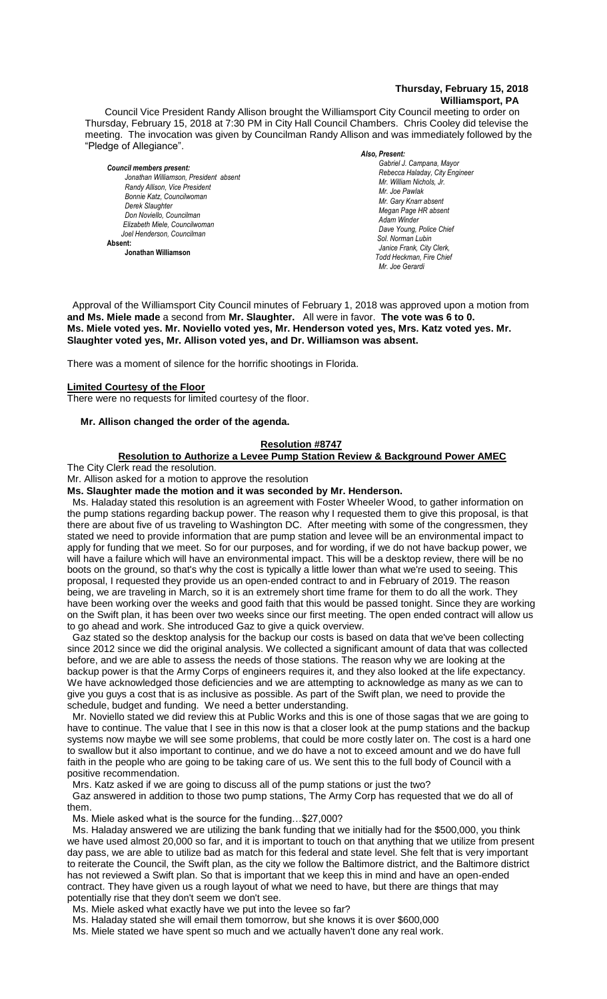### **Thursday, February 15, 2018 Williamsport, PA**

Council Vice President Randy Allison brought the Williamsport City Council meeting to order on Thursday, February 15, 2018 at 7:30 PM in City Hall Council Chambers. Chris Cooley did televise the meeting. The invocation was given by Councilman Randy Allison and was immediately followed by the "Pledge of Allegiance".

*Council members present: Jonathan Williamson, President absent* **Randy Allison, Vice President** *Bonnie Katz, Councilwoman Derek Slaughter Don Noviello, Councilman Elizabeth Miele, Councilwoman Joel Henderson, Councilman*  **Absent: Jonathan Williamson**

#### *Also, Present:*

*Gabriel J. Campana, Mayor Rebecca Haladay, City Engineer Mr. Joe Gerardi Mr. Joseph Pawlak Mr. William Nichols, Jr. Mr. Joe Pawlak Mr. Gary Knarr absent Megan Page HR absent Adam Winder C. Dean Heinbach, Fire Chief Dave Young, Police Chief Sol. Norman Lubin Janice Frank, City Clerk, Todd Heckman, Fire Chief Mr. Joe Gerardi Mr. Joseph Pawlak*

Approval of the Williamsport City Council minutes of February 1, 2018 was approved upon a motion from **and Ms. Miele made** a second from Mr. Slaughter. All were in favor. The vote was 6 to 0. **Ms. Miele voted yes. Mr. Noviello voted yes, Mr. Henderson voted yes, Mrs. Katz voted yes. Mr.**  *Dave Young, Police Chief Chief Heinbach absent* Slaughter voted yes, Mr. Allison voted yes, and Dr. Williamson was absent.  *Sol. J. David Smith*

There was a moment of silence for the horrific shootings in Florida.

#### **Limited Courtesy of the Floor**

There were no requests for limited courtesy of the floor.

#### **Mr. Allison changed the order of the agenda.**

#### **Resolution #8747**

# **Resolution to Authorize a Levee Pump Station Review & Background Power AMEC**

The City Clerk read the resolution.

Mr. Allison asked for a motion to approve the resolution

**Ms. Slaughter made the motion and it was seconded by Mr. Henderson.**

Ms. Haladay stated this resolution is an agreement with Foster Wheeler Wood, to gather information on the pump stations regarding backup power. The reason why I requested them to give this proposal, is that there are about five of us traveling to Washington DC. After meeting with some of the congressmen, they stated we need to provide information that are pump station and levee will be an environmental impact to apply for funding that we meet. So for our purposes, and for wording, if we do not have backup power, we will have a failure which will have an environmental impact. This will be a desktop review, there will be no boots on the ground, so that's why the cost is typically a little lower than what we're used to seeing. This proposal, I requested they provide us an open-ended contract to and in February of 2019. The reason being, we are traveling in March, so it is an extremely short time frame for them to do all the work. They have been working over the weeks and good faith that this would be passed tonight. Since they are working on the Swift plan, it has been over two weeks since our first meeting. The open ended contract will allow us to go ahead and work. She introduced Gaz to give a quick overview.

 Gaz stated so the desktop analysis for the backup our costs is based on data that we've been collecting since 2012 since we did the original analysis. We collected a significant amount of data that was collected before, and we are able to assess the needs of those stations. The reason why we are looking at the backup power is that the Army Corps of engineers requires it, and they also looked at the life expectancy. We have acknowledged those deficiencies and we are attempting to acknowledge as many as we can to give you guys a cost that is as inclusive as possible. As part of the Swift plan, we need to provide the schedule, budget and funding. We need a better understanding.

 Mr. Noviello stated we did review this at Public Works and this is one of those sagas that we are going to have to continue. The value that I see in this now is that a closer look at the pump stations and the backup systems now maybe we will see some problems, that could be more costly later on. The cost is a hard one to swallow but it also important to continue, and we do have a not to exceed amount and we do have full faith in the people who are going to be taking care of us. We sent this to the full body of Council with a positive recommendation.

Mrs. Katz asked if we are going to discuss all of the pump stations or just the two?

 Gaz answered in addition to those two pump stations, The Army Corp has requested that we do all of them.

Ms. Miele asked what is the source for the funding…\$27,000?

 Ms. Haladay answered we are utilizing the bank funding that we initially had for the \$500,000, you think we have used almost 20,000 so far, and it is important to touch on that anything that we utilize from present day pass, we are able to utilize bad as match for this federal and state level. She felt that is very important to reiterate the Council, the Swift plan, as the city we follow the Baltimore district, and the Baltimore district has not reviewed a Swift plan. So that is important that we keep this in mind and have an open-ended contract. They have given us a rough layout of what we need to have, but there are things that may potentially rise that they don't seem we don't see.

Ms. Miele asked what exactly have we put into the levee so far?

Ms. Haladay stated she will email them tomorrow, but she knows it is over \$600,000

Ms. Miele stated we have spent so much and we actually haven't done any real work.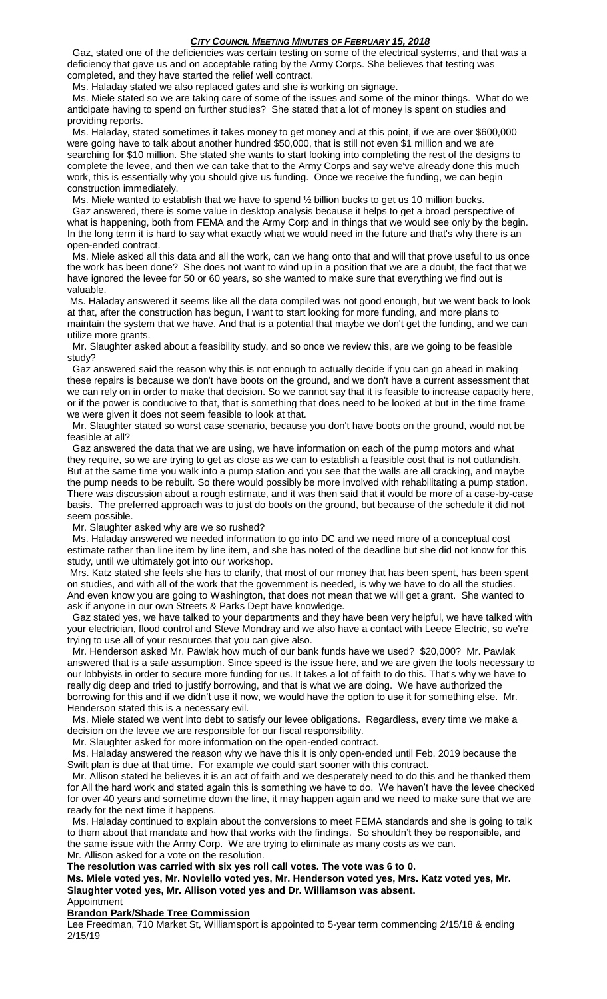### *CITY COUNCIL MEETING MINUTES OF FEBRUARY 15, 2018*

 Gaz, stated one of the deficiencies was certain testing on some of the electrical systems, and that was a deficiency that gave us and on acceptable rating by the Army Corps. She believes that testing was completed, and they have started the relief well contract.

Ms. Haladay stated we also replaced gates and she is working on signage.

 Ms. Miele stated so we are taking care of some of the issues and some of the minor things. What do we anticipate having to spend on further studies? She stated that a lot of money is spent on studies and providing reports.

 Ms. Haladay, stated sometimes it takes money to get money and at this point, if we are over \$600,000 were going have to talk about another hundred \$50,000, that is still not even \$1 million and we are searching for \$10 million. She stated she wants to start looking into completing the rest of the designs to complete the levee, and then we can take that to the Army Corps and say we've already done this much work, this is essentially why you should give us funding. Once we receive the funding, we can begin construction immediately.

Ms. Miele wanted to establish that we have to spend  $\frac{1}{2}$  billion bucks to get us 10 million bucks.

 Gaz answered, there is some value in desktop analysis because it helps to get a broad perspective of what is happening, both from FEMA and the Army Corp and in things that we would see only by the begin. In the long term it is hard to say what exactly what we would need in the future and that's why there is an open-ended contract.

 Ms. Miele asked all this data and all the work, can we hang onto that and will that prove useful to us once the work has been done? She does not want to wind up in a position that we are a doubt, the fact that we have ignored the levee for 50 or 60 years, so she wanted to make sure that everything we find out is valuable.

Ms. Haladay answered it seems like all the data compiled was not good enough, but we went back to look at that, after the construction has begun, I want to start looking for more funding, and more plans to maintain the system that we have. And that is a potential that maybe we don't get the funding, and we can utilize more grants.

 Mr. Slaughter asked about a feasibility study, and so once we review this, are we going to be feasible study?

 Gaz answered said the reason why this is not enough to actually decide if you can go ahead in making these repairs is because we don't have boots on the ground, and we don't have a current assessment that we can rely on in order to make that decision. So we cannot say that it is feasible to increase capacity here, or if the power is conducive to that, that is something that does need to be looked at but in the time frame we were given it does not seem feasible to look at that.

 Mr. Slaughter stated so worst case scenario, because you don't have boots on the ground, would not be feasible at all?

 Gaz answered the data that we are using, we have information on each of the pump motors and what they require, so we are trying to get as close as we can to establish a feasible cost that is not outlandish. But at the same time you walk into a pump station and you see that the walls are all cracking, and maybe the pump needs to be rebuilt. So there would possibly be more involved with rehabilitating a pump station. There was discussion about a rough estimate, and it was then said that it would be more of a case-by-case basis. The preferred approach was to just do boots on the ground, but because of the schedule it did not seem possible.

Mr. Slaughter asked why are we so rushed?

 Ms. Haladay answered we needed information to go into DC and we need more of a conceptual cost estimate rather than line item by line item, and she has noted of the deadline but she did not know for this study, until we ultimately got into our workshop.

Mrs. Katz stated she feels she has to clarify, that most of our money that has been spent, has been spent on studies, and with all of the work that the government is needed, is why we have to do all the studies. And even know you are going to Washington, that does not mean that we will get a grant. She wanted to ask if anyone in our own Streets & Parks Dept have knowledge.

 Gaz stated yes, we have talked to your departments and they have been very helpful, we have talked with your electrician, flood control and Steve Mondray and we also have a contact with Leece Electric, so we're trying to use all of your resources that you can give also.

 Mr. Henderson asked Mr. Pawlak how much of our bank funds have we used? \$20,000? Mr. Pawlak answered that is a safe assumption. Since speed is the issue here, and we are given the tools necessary to our lobbyists in order to secure more funding for us. It takes a lot of faith to do this. That's why we have to really dig deep and tried to justify borrowing, and that is what we are doing. We have authorized the borrowing for this and if we didn't use it now, we would have the option to use it for something else. Mr. Henderson stated this is a necessary evil.

 Ms. Miele stated we went into debt to satisfy our levee obligations. Regardless, every time we make a decision on the levee we are responsible for our fiscal responsibility.

Mr. Slaughter asked for more information on the open-ended contract.

 Ms. Haladay answered the reason why we have this it is only open-ended until Feb. 2019 because the Swift plan is due at that time. For example we could start sooner with this contract.

 Mr. Allison stated he believes it is an act of faith and we desperately need to do this and he thanked them for All the hard work and stated again this is something we have to do. We haven't have the levee checked for over 40 years and sometime down the line, it may happen again and we need to make sure that we are ready for the next time it happens.

 Ms. Haladay continued to explain about the conversions to meet FEMA standards and she is going to talk to them about that mandate and how that works with the findings. So shouldn't they be responsible, and the same issue with the Army Corp. We are trying to eliminate as many costs as we can. Mr. Allison asked for a vote on the resolution.

**The resolution was carried with six yes roll call votes. The vote was 6 to 0.**

**Ms. Miele voted yes, Mr. Noviello voted yes, Mr. Henderson voted yes, Mrs. Katz voted yes, Mr. Slaughter voted yes, Mr. Allison voted yes and Dr. Williamson was absent.** Appointment

#### **Brandon Park/Shade Tree Commission**

Lee Freedman, 710 Market St, Williamsport is appointed to 5-year term commencing 2/15/18 & ending 2/15/19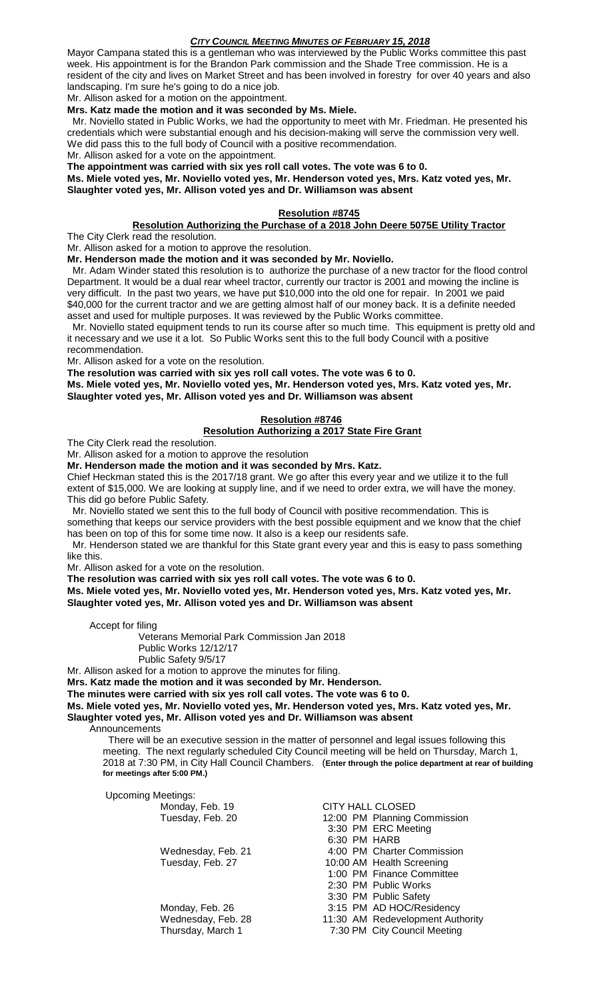# *CITY COUNCIL MEETING MINUTES OF FEBRUARY 15, 2018*

Mayor Campana stated this is a gentleman who was interviewed by the Public Works committee this past week. His appointment is for the Brandon Park commission and the Shade Tree commission. He is a resident of the city and lives on Market Street and has been involved in forestry for over 40 years and also landscaping. I'm sure he's going to do a nice job.

Mr. Allison asked for a motion on the appointment.

### **Mrs. Katz made the motion and it was seconded by Ms. Miele.**

 Mr. Noviello stated in Public Works, we had the opportunity to meet with Mr. Friedman. He presented his credentials which were substantial enough and his decision-making will serve the commission very well. We did pass this to the full body of Council with a positive recommendation.

Mr. Allison asked for a vote on the appointment.

**The appointment was carried with six yes roll call votes. The vote was 6 to 0.**

**Ms. Miele voted yes, Mr. Noviello voted yes, Mr. Henderson voted yes, Mrs. Katz voted yes, Mr. Slaughter voted yes, Mr. Allison voted yes and Dr. Williamson was absent**

## **Resolution #8745**

# **Resolution Authorizing the Purchase of a 2018 John Deere 5075E Utility Tractor**

The City Clerk read the resolution.

Mr. Allison asked for a motion to approve the resolution.

**Mr. Henderson made the motion and it was seconded by Mr. Noviello.**

 Mr. Adam Winder stated this resolution is to authorize the purchase of a new tractor for the flood control Department. It would be a dual rear wheel tractor, currently our tractor is 2001 and mowing the incline is very difficult. In the past two years, we have put \$10,000 into the old one for repair. In 2001 we paid \$40,000 for the current tractor and we are getting almost half of our money back. It is a definite needed asset and used for multiple purposes. It was reviewed by the Public Works committee.

 Mr. Noviello stated equipment tends to run its course after so much time. This equipment is pretty old and it necessary and we use it a lot. So Public Works sent this to the full body Council with a positive recommendation.

Mr. Allison asked for a vote on the resolution.

**The resolution was carried with six yes roll call votes. The vote was 6 to 0.**

**Ms. Miele voted yes, Mr. Noviello voted yes, Mr. Henderson voted yes, Mrs. Katz voted yes, Mr. Slaughter voted yes, Mr. Allison voted yes and Dr. Williamson was absent**

# **Resolution #8746**

# **Resolution Authorizing a 2017 State Fire Grant**

The City Clerk read the resolution.

Mr. Allison asked for a motion to approve the resolution

**Mr. Henderson made the motion and it was seconded by Mrs. Katz.**

Chief Heckman stated this is the 2017/18 grant. We go after this every year and we utilize it to the full extent of \$15,000. We are looking at supply line, and if we need to order extra, we will have the money. This did go before Public Safety.

 Mr. Noviello stated we sent this to the full body of Council with positive recommendation. This is something that keeps our service providers with the best possible equipment and we know that the chief has been on top of this for some time now. It also is a keep our residents safe.

 Mr. Henderson stated we are thankful for this State grant every year and this is easy to pass something like this.

Mr. Allison asked for a vote on the resolution.

**The resolution was carried with six yes roll call votes. The vote was 6 to 0.**

**Ms. Miele voted yes, Mr. Noviello voted yes, Mr. Henderson voted yes, Mrs. Katz voted yes, Mr. Slaughter voted yes, Mr. Allison voted yes and Dr. Williamson was absent**

Accept for filing

Veterans Memorial Park Commission Jan 2018 Public Works 12/12/17 Public Safety 9/5/17

Mr. Allison asked for a motion to approve the minutes for filing.

**Mrs. Katz made the motion and it was seconded by Mr. Henderson.**

**The minutes were carried with six yes roll call votes. The vote was 6 to 0.**

**Ms. Miele voted yes, Mr. Noviello voted yes, Mr. Henderson voted yes, Mrs. Katz voted yes, Mr. Slaughter voted yes, Mr. Allison voted yes and Dr. Williamson was absent**

Announcements

 There will be an executive session in the matter of personnel and legal issues following this meeting. The next regularly scheduled City Council meeting will be held on Thursday, March 1, 2018 at 7:30 PM, in City Hall Council Chambers. (**Enter through the police department at rear of building for meetings after 5:00 PM.)**

Upcoming Meetings: Monday, Feb. 19 CITY HALL CLOSED Tuesday, Feb. 20 12:00 PM Planning Commission 3:30 PM ERC Meeting 6:30 PM HARB Wednesday, Feb. 21 4:00 PM Charter Commission Tuesday, Feb. 27 10:00 AM Health Screening 1:00 PM Finance Committee 2:30 PM Public Works 3:30 PM Public Safety Monday, Feb. 26 3:15 PM AD HOC/Residency Wednesday, Feb. 28 11:30 AM Redevelopment Authority Thursday, March 1 7:30 PM City Council Meeting